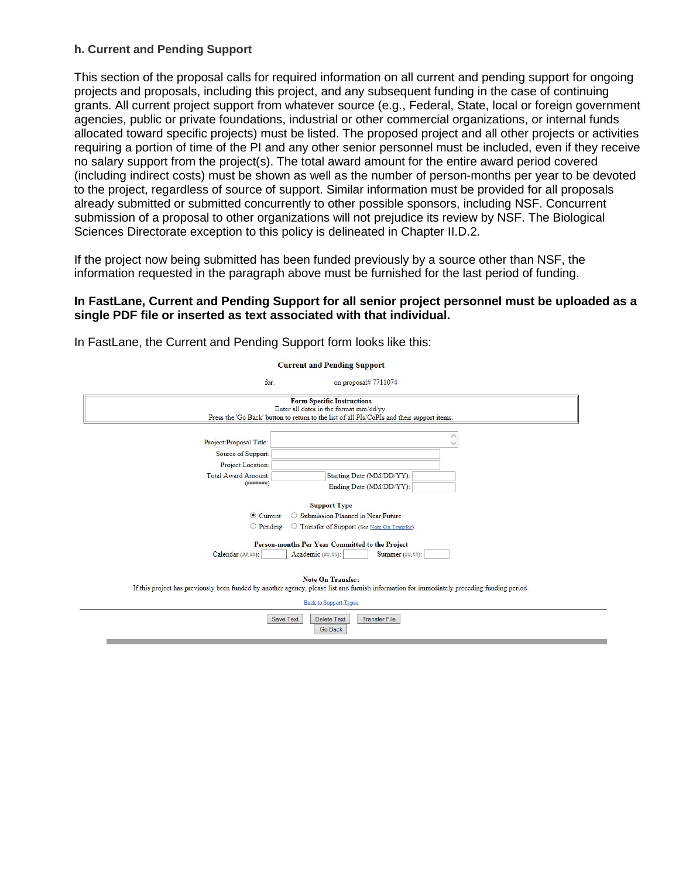## **h. Current and Pending Support**

This section of the proposal calls for required information on all current and pending support for ongoing projects and proposals, including this project, and any subsequent funding in the case of continuing grants. All current project support from whatever source (e.g., Federal, State, local or foreign government agencies, public or private foundations, industrial or other commercial organizations, or internal funds allocated toward specific projects) must be listed. The proposed project and all other projects or activities requiring a portion of time of the PI and any other senior personnel must be included, even if they receive no salary support from the project(s). The total award amount for the entire award period covered (including indirect costs) must be shown as well as the number of person-months per year to be devoted to the project, regardless of source of support. Similar information must be provided for all proposals already submitted or submitted concurrently to other possible sponsors, including NSF. Concurrent submission of a proposal to other organizations will not prejudice its review by NSF. The Biological Sciences Directorate exception to this policy is delineated in Chapter II.D.2.

If the project now being submitted has been funded previously by a source other than NSF, the information requested in the paragraph above must be furnished for the last period of funding.

## **In FastLane, Current and Pending Support for all senior project personnel must be uploaded as a single PDF file or inserted as text associated with that individual.**

| <b>Current and Pending Support</b>                                                                                                                                                                      |                                                                                                                                                                                                                                                               |  |
|---------------------------------------------------------------------------------------------------------------------------------------------------------------------------------------------------------|---------------------------------------------------------------------------------------------------------------------------------------------------------------------------------------------------------------------------------------------------------------|--|
| for.                                                                                                                                                                                                    | on proposal# 7711074                                                                                                                                                                                                                                          |  |
| <b>Form Specific Instructions</b><br>Enter all dates in the format mm/dd/yy.<br>Press the 'Go Back' button to return to the list of all PIs/CoPIs and their support items.                              |                                                                                                                                                                                                                                                               |  |
| Project/Proposal Title:<br>Source of Support:<br>Project Location:<br>Total Award Amount:<br>( # # # # ##))<br><b>◎</b> Current<br>$\bigcirc$ Pending<br>Calendar (##.##):                              | Starting Date (MM/DD/YY):<br>Ending Date (MM/DD/YY):<br><b>Support Type</b><br>O Submission Planned in Near Future<br>O Transfer of Support (See Note On Transfer)<br>Person-months Per Year Committed to the Project<br>Summer (##,##):<br>Academic (##.##): |  |
| <b>Note On Transfer:</b><br>If this project has previously been funded by another agency, please list and furnish information for immediately preceding funding period.<br><b>Back to Support Types</b> |                                                                                                                                                                                                                                                               |  |
|                                                                                                                                                                                                         | Save Text<br><b>Delete Text</b><br><b>Transfer File</b><br><b>Go Back</b>                                                                                                                                                                                     |  |

In FastLane, the Current and Pending Support form looks like this: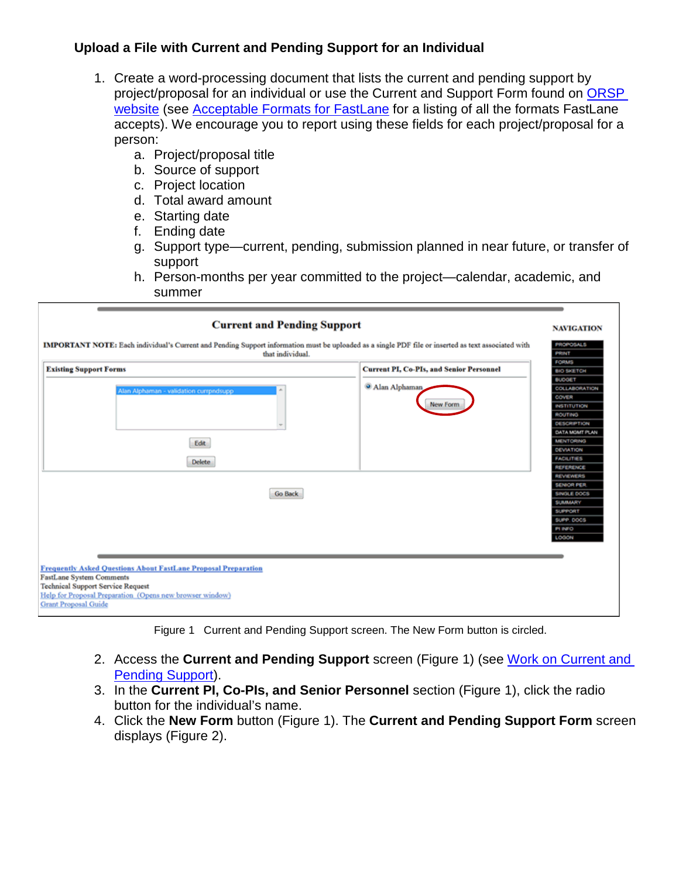## **Upload a File with Current and Pending Support for an Individual**

- 1. Create a word-processing document that lists the current and pending support by project/proposal for an individual or use the Current and Support Form found on ORSP [website](https://www.westga.edu/academics/research/orsp/nsf.php) (see **Acceptable Formats for FastLane** for a listing of all the formats FastLane accepts). We encourage you to report using these fields for each project/proposal for a person:
	- a. Project/proposal title
	- b. Source of support
	- c. Project location
	- d. Total award amount
	- e. Starting date
	- f. Ending date
	- g. Support type—current, pending, submission planned in near future, or transfer of support
	- h. Person-months per year committed to the project—calendar, academic, and summer

| IMPORTANT NOTE: Each individual's Current and Pending Support information must be uploaded as a single PDF file or inserted as text associated with<br>that individual.                                          |                                                 | <b>PROPOSALS</b><br>PRINT<br><b>FORMS</b>                                                                                  |
|------------------------------------------------------------------------------------------------------------------------------------------------------------------------------------------------------------------|-------------------------------------------------|----------------------------------------------------------------------------------------------------------------------------|
| <b>Existing Support Forms</b>                                                                                                                                                                                    | <b>Current PI, Co-PIs, and Senior Personnel</b> | <b>BIO SKETCH</b>                                                                                                          |
| Alan Alphaman - validation currpndsupp                                                                                                                                                                           | <sup>3</sup> Alan Alphaman<br>New Form          | <b>BUOGET</b><br><b>COLLABORATION</b><br>COVER<br><b>INSTITUTION</b><br>ROUTING<br><b>DESCRIPTION</b>                      |
| Edit                                                                                                                                                                                                             |                                                 | <b>DATA MOMT PLAN</b><br><b>MENTORING</b><br>DEVIATION                                                                     |
| <b>Delete</b>                                                                                                                                                                                                    |                                                 | <b>FACILITIES</b><br><b>REFERENCE</b>                                                                                      |
| Go Back                                                                                                                                                                                                          |                                                 | <b>REVIEWERS</b><br><b>SENIOR PER</b><br><b>SINGLE DOCS</b><br><b>SUMMARY</b><br>SUPPORT<br>SUPP, DOCS<br>PI INFO<br>LOGON |
| <b>Frequently Asked Questions About FastLane Proposal Preparation</b><br><b>FastLane System Comments</b><br><b>Technical Support Service Request</b><br>Help for Proposal Preparation (Opens new browser window) |                                                 |                                                                                                                            |

Figure 1 Current and Pending Support screen. The New Form button is circled.

- 2. Access the **Current and Pending Support** screen (Figure 1) (see [Work on Current and](https://www.fastlane.nsf.gov/NSFHelp/webhelp/fastlane/FastLane_Help/what_is_current_and_pending_support.htm#Work_on_Current_and_Pending_Support)  [Pending Support\)](https://www.fastlane.nsf.gov/NSFHelp/webhelp/fastlane/FastLane_Help/what_is_current_and_pending_support.htm#Work_on_Current_and_Pending_Support).
- 3. In the **Current PI, Co-PIs, and Senior Personnel** section (Figure 1), click the radio button for the individual's name.
- 4. Click the **New Form** button (Figure 1). The **Current and Pending Support Form** screen displays (Figure 2).